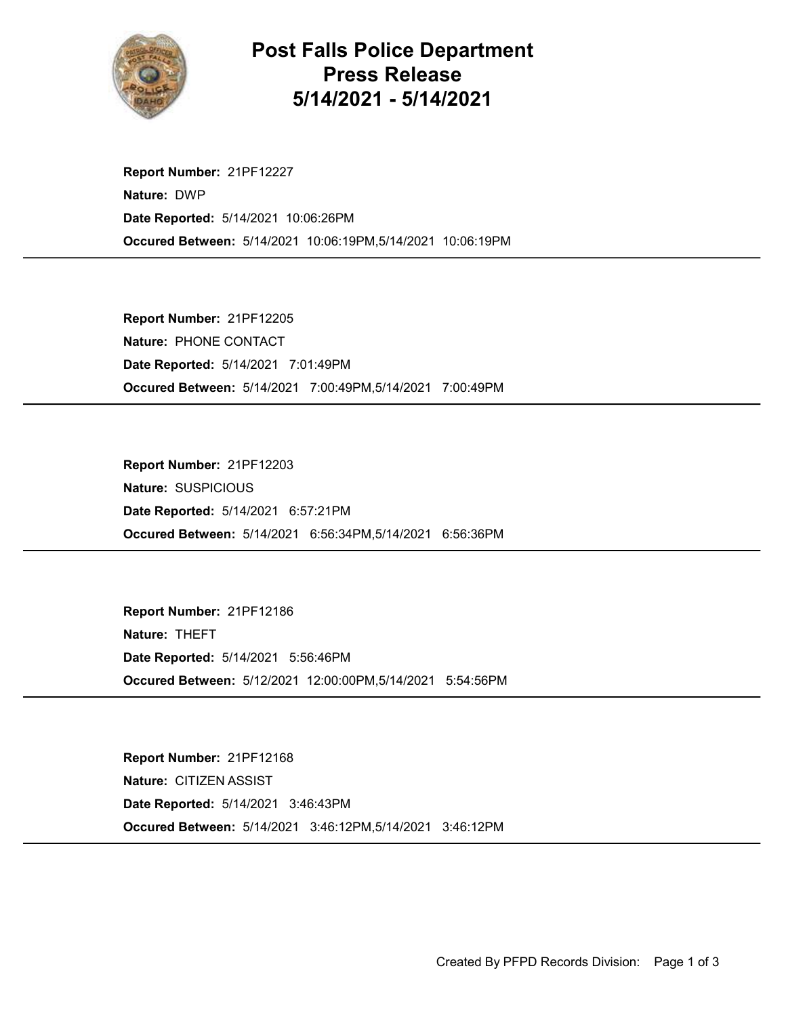

## Post Falls Police Department Press Release 5/14/2021 - 5/14/2021

Occured Between: 5/14/2021 10:06:19PM,5/14/2021 10:06:19PM Report Number: 21PF12227 Nature: DWP Date Reported: 5/14/2021 10:06:26PM

Occured Between: 5/14/2021 7:00:49PM,5/14/2021 7:00:49PM Report Number: 21PF12205 Nature: PHONE CONTACT Date Reported: 5/14/2021 7:01:49PM

Occured Between: 5/14/2021 6:56:34PM,5/14/2021 6:56:36PM Report Number: 21PF12203 Nature: SUSPICIOUS Date Reported: 5/14/2021 6:57:21PM

Occured Between: 5/12/2021 12:00:00PM,5/14/2021 5:54:56PM Report Number: 21PF12186 Nature: THEFT Date Reported: 5/14/2021 5:56:46PM

Occured Between: 5/14/2021 3:46:12PM,5/14/2021 3:46:12PM Report Number: 21PF12168 Nature: CITIZEN ASSIST Date Reported: 5/14/2021 3:46:43PM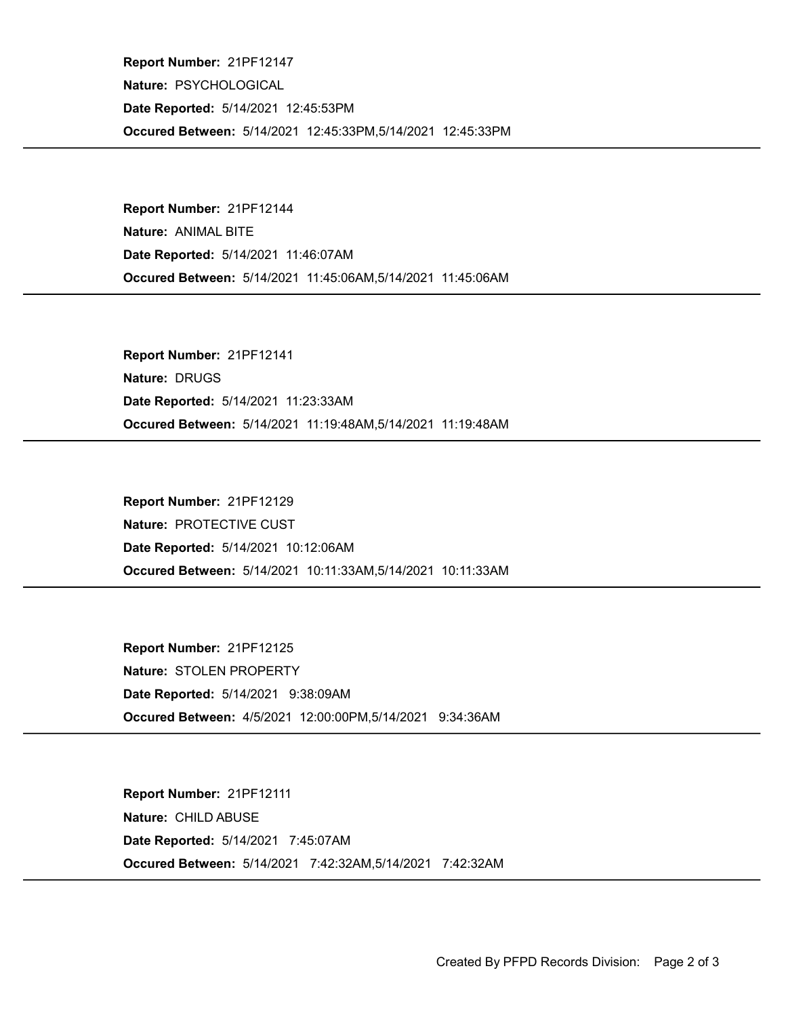Occured Between: 5/14/2021 12:45:33PM,5/14/2021 12:45:33PM Report Number: 21PF12147 Nature: PSYCHOLOGICAL Date Reported: 5/14/2021 12:45:53PM

Occured Between: 5/14/2021 11:45:06AM,5/14/2021 11:45:06AM Report Number: 21PF12144 Nature: ANIMAL BITE Date Reported: 5/14/2021 11:46:07AM

Occured Between: 5/14/2021 11:19:48AM,5/14/2021 11:19:48AM Report Number: 21PF12141 Nature: DRUGS Date Reported: 5/14/2021 11:23:33AM

Occured Between: 5/14/2021 10:11:33AM,5/14/2021 10:11:33AM Report Number: 21PF12129 Nature: PROTECTIVE CUST Date Reported: 5/14/2021 10:12:06AM

Occured Between: 4/5/2021 12:00:00PM,5/14/2021 9:34:36AM Report Number: 21PF12125 Nature: STOLEN PROPERTY Date Reported: 5/14/2021 9:38:09AM

Occured Between: 5/14/2021 7:42:32AM,5/14/2021 7:42:32AM Report Number: 21PF12111 Nature: CHILD ABUSE Date Reported: 5/14/2021 7:45:07AM